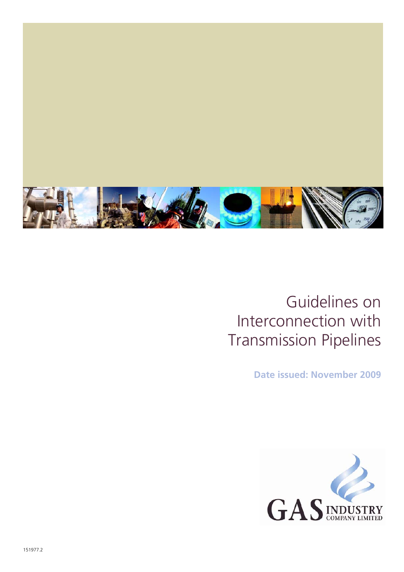

### Guidelines on Interconnection with Transmission Pipelines

**Date issued: November 2009** 

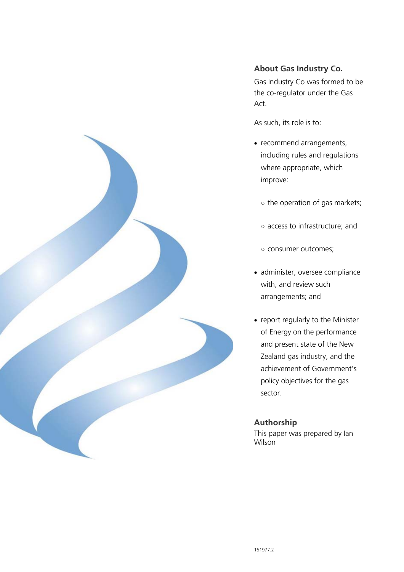

#### **About Gas Industry Co.**

Gas Industry Co was formed to be the co-regulator under the Gas Act.

As such, its role is to:

- recommend arrangements, including rules and regulations where appropriate, which improve:
	- the operation of gas markets;
	- access to infrastructure; and
	- consumer outcomes;
- administer, oversee compliance with, and review such arrangements; and
- report regularly to the Minister of Energy on the performance and present state of the New Zealand gas industry, and the achievement of Government's policy objectives for the gas sector.

#### **Authorship**

This paper was prepared by Ian Wilson<sup>1</sup>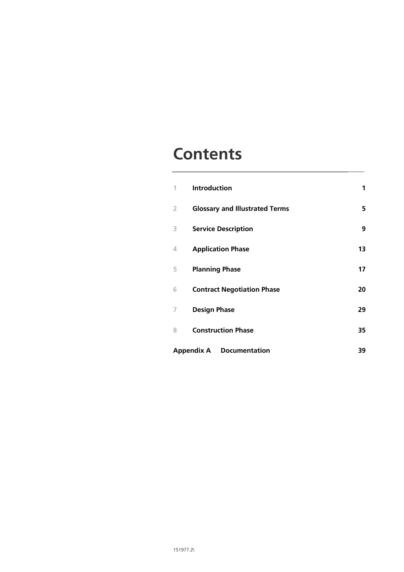### **Contents**

| 1                                               | <b>Introduction</b>                   | 1  |
|-------------------------------------------------|---------------------------------------|----|
| 2                                               | <b>Glossary and Illustrated Terms</b> | 5  |
| 3                                               | <b>Service Description</b>            | 9  |
| 4                                               | <b>Application Phase</b>              | 13 |
| 5                                               | <b>Planning Phase</b>                 | 17 |
| 6                                               | <b>Contract Negotiation Phase</b>     | 20 |
| 7                                               | <b>Design Phase</b>                   | 29 |
| 8                                               | <b>Construction Phase</b>             | 35 |
| <b>Appendix A</b><br><b>Documentation</b><br>39 |                                       |    |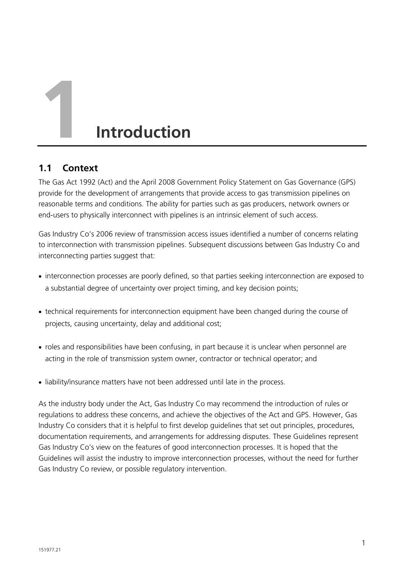# **1 Introduction**

#### **1.1 Context**

The Gas Act 1992 (Act) and the April 2008 Government Policy Statement on Gas Governance (GPS) provide for the development of arrangements that provide access to gas transmission pipelines on reasonable terms and conditions. The ability for parties such as gas producers, network owners or end-users to physically interconnect with pipelines is an intrinsic element of such access.

Gas Industry Co's 2006 review of transmission access issues identified a number of concerns relating to interconnection with transmission pipelines. Subsequent discussions between Gas Industry Co and interconnecting parties suggest that:

- interconnection processes are poorly defined, so that parties seeking interconnection are exposed to a substantial degree of uncertainty over project timing, and key decision points;
- technical requirements for interconnection equipment have been changed during the course of projects, causing uncertainty, delay and additional cost;
- roles and responsibilities have been confusing, in part because it is unclear when personnel are acting in the role of transmission system owner, contractor or technical operator; and
- liability/insurance matters have not been addressed until late in the process.

As the industry body under the Act, Gas Industry Co may recommend the introduction of rules or regulations to address these concerns, and achieve the objectives of the Act and GPS. However, Gas Industry Co considers that it is helpful to first develop guidelines that set out principles, procedures, documentation requirements, and arrangements for addressing disputes. These Guidelines represent Gas Industry Co's view on the features of good interconnection processes. It is hoped that the Guidelines will assist the industry to improve interconnection processes, without the need for further Gas Industry Co review, or possible regulatory intervention.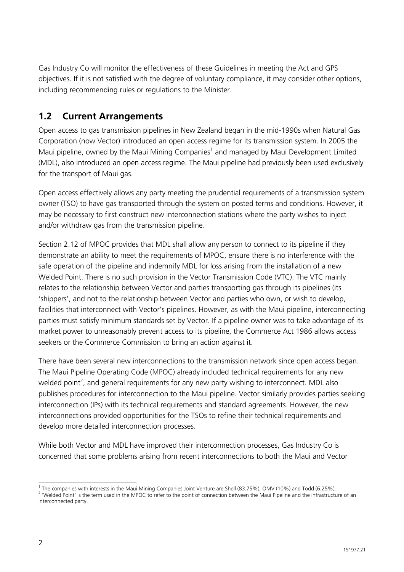Gas Industry Co will monitor the effectiveness of these Guidelines in meeting the Act and GPS objectives. If it is not satisfied with the degree of voluntary compliance, it may consider other options, including recommending rules or regulations to the Minister.

#### **1.2 Current Arrangements**

Open access to gas transmission pipelines in New Zealand began in the mid-1990s when Natural Gas Corporation (now Vector) introduced an open access regime for its transmission system. In 2005 the Maui pipeline, owned by the Maui Mining Companies<sup>1</sup> and managed by Maui Development Limited (MDL), also introduced an open access regime. The Maui pipeline had previously been used exclusively for the transport of Maui gas.

Open access effectively allows any party meeting the prudential requirements of a transmission system owner (TSO) to have gas transported through the system on posted terms and conditions. However, it may be necessary to first construct new interconnection stations where the party wishes to inject and/or withdraw gas from the transmission pipeline.

Section 2.12 of MPOC provides that MDL shall allow any person to connect to its pipeline if they demonstrate an ability to meet the requirements of MPOC, ensure there is no interference with the safe operation of the pipeline and indemnify MDL for loss arising from the installation of a new Welded Point. There is no such provision in the Vector Transmission Code (VTC). The VTC mainly relates to the relationship between Vector and parties transporting gas through its pipelines (its 'shippers', and not to the relationship between Vector and parties who own, or wish to develop, facilities that interconnect with Vector's pipelines. However, as with the Maui pipeline, interconnecting parties must satisfy minimum standards set by Vector. If a pipeline owner was to take advantage of its market power to unreasonably prevent access to its pipeline, the Commerce Act 1986 allows access seekers or the Commerce Commission to bring an action against it.

There have been several new interconnections to the transmission network since open access began. The Maui Pipeline Operating Code (MPOC) already included technical requirements for any new welded point<sup>2</sup>, and general requirements for any new party wishing to interconnect. MDL also publishes procedures for interconnection to the Maui pipeline. Vector similarly provides parties seeking interconnection (IPs) with its technical requirements and standard agreements. However, the new interconnections provided opportunities for the TSOs to refine their technical requirements and develop more detailed interconnection processes.

While both Vector and MDL have improved their interconnection processes, Gas Industry Co is concerned that some problems arising from recent interconnections to both the Maui and Vector

 $\frac{1}{1}$ 

<sup>&#</sup>x27; The companies with interests in the Maui Mining Companies Joint Venture are Shell (83.75%), OMV (10%) and Todd (6.25%).<br><sup>2</sup> 'Welded Point' is the term used in the MPOC to refer to the point of connection between the Maui interconnected party.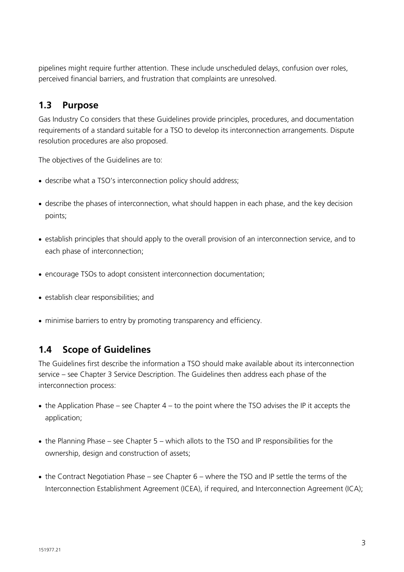pipelines might require further attention. These include unscheduled delays, confusion over roles, perceived financial barriers, and frustration that complaints are unresolved.

#### **1.3 Purpose**

Gas Industry Co considers that these Guidelines provide principles, procedures, and documentation requirements of a standard suitable for a TSO to develop its interconnection arrangements. Dispute resolution procedures are also proposed.

The objectives of the Guidelines are to:

- describe what a TSO's interconnection policy should address;
- describe the phases of interconnection, what should happen in each phase, and the key decision points;
- establish principles that should apply to the overall provision of an interconnection service, and to each phase of interconnection;
- encourage TSOs to adopt consistent interconnection documentation:
- establish clear responsibilities; and
- minimise barriers to entry by promoting transparency and efficiency.

#### **1.4 Scope of Guidelines**

The Guidelines first describe the information a TSO should make available about its interconnection service – see Chapter 3 Service Description. The Guidelines then address each phase of the interconnection process:

- $\bullet$  the Application Phase see Chapter 4 to the point where the TSO advises the IP it accepts the application;
- the Planning Phase see Chapter 5 which allots to the TSO and IP responsibilities for the ownership, design and construction of assets;
- the Contract Negotiation Phase see Chapter 6 where the TSO and IP settle the terms of the Interconnection Establishment Agreement (ICEA), if required, and Interconnection Agreement (ICA);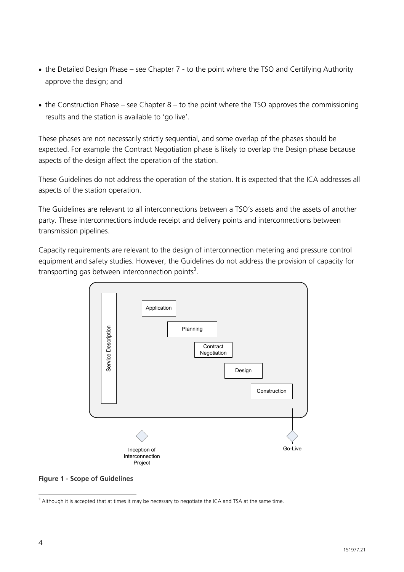- the Detailed Design Phase see Chapter 7 to the point where the TSO and Certifying Authority approve the design; and
- the Construction Phase see Chapter 8 to the point where the TSO approves the commissioning results and the station is available to 'go live'.

These phases are not necessarily strictly sequential, and some overlap of the phases should be expected. For example the Contract Negotiation phase is likely to overlap the Design phase because aspects of the design affect the operation of the station.

These Guidelines do not address the operation of the station. It is expected that the ICA addresses all aspects of the station operation.

The Guidelines are relevant to all interconnections between a TSO's assets and the assets of another party. These interconnections include receipt and delivery points and interconnections between transmission pipelines.

Capacity requirements are relevant to the design of interconnection metering and pressure control equipment and safety studies. However, the Guidelines do not address the provision of capacity for transporting gas between interconnection points<sup>3</sup>.



**Figure 1 - Scope of Guidelines** 

 3 Although it is accepted that at times it may be necessary to negotiate the ICA and TSA at the same time.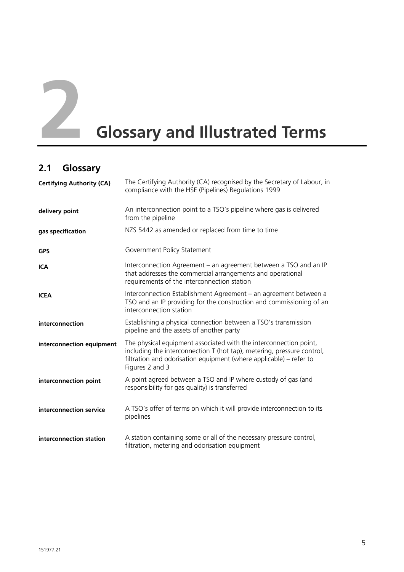

## **22 <b>Glossary and Illustrated Terms**

#### **2.1 Glossary**

| <b>Certifying Authority (CA)</b> | The Certifying Authority (CA) recognised by the Secretary of Labour, in<br>compliance with the HSE (Pipelines) Regulations 1999                                                                                                      |
|----------------------------------|--------------------------------------------------------------------------------------------------------------------------------------------------------------------------------------------------------------------------------------|
| delivery point                   | An interconnection point to a TSO's pipeline where gas is delivered<br>from the pipeline                                                                                                                                             |
| gas specification                | NZS 5442 as amended or replaced from time to time                                                                                                                                                                                    |
| <b>GPS</b>                       | Government Policy Statement                                                                                                                                                                                                          |
| <b>ICA</b>                       | Interconnection Agreement – an agreement between a TSO and an IP<br>that addresses the commercial arrangements and operational<br>requirements of the interconnection station                                                        |
| <b>ICEA</b>                      | Interconnection Establishment Agreement - an agreement between a<br>TSO and an IP providing for the construction and commissioning of an<br>interconnection station                                                                  |
| interconnection                  | Establishing a physical connection between a TSO's transmission<br>pipeline and the assets of another party                                                                                                                          |
| interconnection equipment        | The physical equipment associated with the interconnection point,<br>including the interconnection T (hot tap), metering, pressure control,<br>filtration and odorisation equipment (where applicable) – refer to<br>Figures 2 and 3 |
| interconnection point            | A point agreed between a TSO and IP where custody of gas (and<br>responsibility for gas quality) is transferred                                                                                                                      |
| interconnection service          | A TSO's offer of terms on which it will provide interconnection to its<br>pipelines                                                                                                                                                  |
| interconnection station          | A station containing some or all of the necessary pressure control,<br>filtration, metering and odorisation equipment                                                                                                                |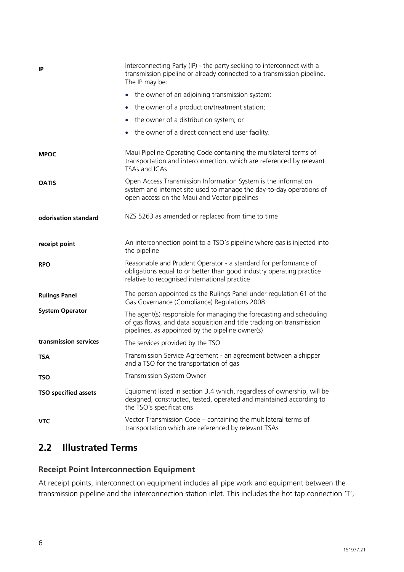| IP                          | Interconnecting Party (IP) - the party seeking to interconnect with a<br>transmission pipeline or already connected to a transmission pipeline.<br>The IP may be:                                 |
|-----------------------------|---------------------------------------------------------------------------------------------------------------------------------------------------------------------------------------------------|
|                             | the owner of an adjoining transmission system;<br>$\bullet$                                                                                                                                       |
|                             | the owner of a production/treatment station;<br>$\bullet$                                                                                                                                         |
|                             | the owner of a distribution system; or<br>$\bullet$                                                                                                                                               |
|                             | the owner of a direct connect end user facility.<br>$\bullet$                                                                                                                                     |
| <b>MPOC</b>                 | Maui Pipeline Operating Code containing the multilateral terms of<br>transportation and interconnection, which are referenced by relevant<br>TSAs and ICAs                                        |
| <b>OATIS</b>                | Open Access Transmission Information System is the information<br>system and internet site used to manage the day-to-day operations of<br>open access on the Maui and Vector pipelines            |
| odorisation standard        | NZS 5263 as amended or replaced from time to time                                                                                                                                                 |
| receipt point               | An interconnection point to a TSO's pipeline where gas is injected into<br>the pipeline                                                                                                           |
| <b>RPO</b>                  | Reasonable and Prudent Operator - a standard for performance of<br>obligations equal to or better than good industry operating practice<br>relative to recognised international practice          |
| <b>Rulings Panel</b>        | The person appointed as the Rulings Panel under regulation 61 of the<br>Gas Governance (Compliance) Regulations 2008                                                                              |
| <b>System Operator</b>      | The agent(s) responsible for managing the forecasting and scheduling<br>of gas flows, and data acquisition and title tracking on transmission<br>pipelines, as appointed by the pipeline owner(s) |
| transmission services       | The services provided by the TSO                                                                                                                                                                  |
| <b>TSA</b>                  | Transmission Service Agreement - an agreement between a shipper<br>and a TSO for the transportation of gas                                                                                        |
| <b>TSO</b>                  | Transmission System Owner                                                                                                                                                                         |
| <b>TSO specified assets</b> | Equipment listed in section 3.4 which, regardless of ownership, will be<br>designed, constructed, tested, operated and maintained according to<br>the TSO's specifications                        |
| <b>VTC</b>                  | Vector Transmission Code - containing the multilateral terms of<br>transportation which are referenced by relevant TSAs                                                                           |

#### **2.2 Illustrated Terms**

#### **Receipt Point Interconnection Equipment**

At receipt points, interconnection equipment includes all pipe work and equipment between the transmission pipeline and the interconnection station inlet. This includes the hot tap connection 'T',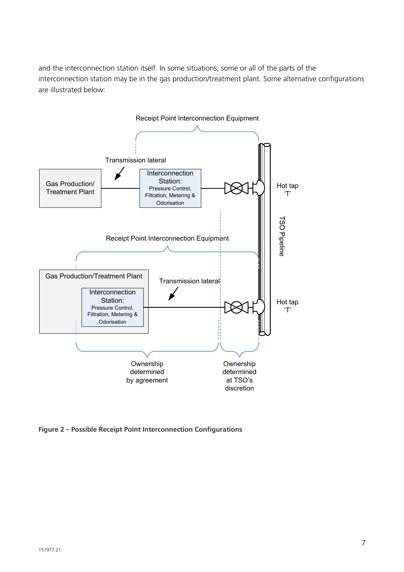and the interconnection station itself. In some situations, some or all of the parts of the interconnection station may be in the gas production/treatment plant. Some alternative configurations are illustrated below:



**Figure 2 – Possible Receipt Point Interconnection Configurations**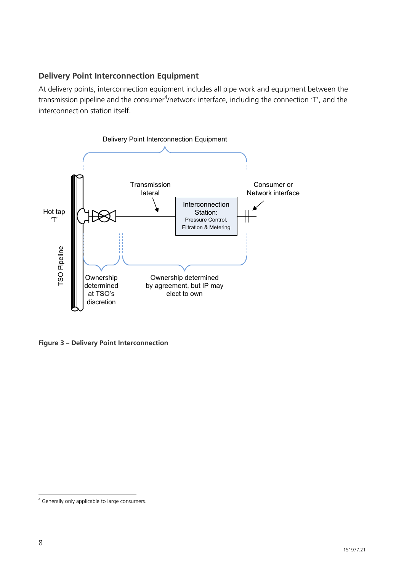#### **Delivery Point Interconnection Equipment**

At delivery points, interconnection equipment includes all pipe work and equipment between the transmission pipeline and the consumer<sup>4</sup>/network interface, including the connection 'T', and the interconnection station itself.



**Figure 3 – Delivery Point Interconnection** 

 4 Generally only applicable to large consumers.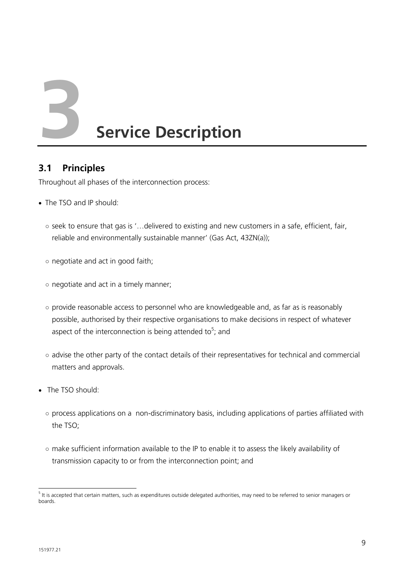**3 Service Description** 

#### **3.1 Principles**

Throughout all phases of the interconnection process:

- The TSO and IP should:
	- seek to ensure that gas is '…delivered to existing and new customers in a safe, efficient, fair, reliable and environmentally sustainable manner' (Gas Act, 43ZN(a));
	- negotiate and act in good faith;
	- negotiate and act in a timely manner;
	- provide reasonable access to personnel who are knowledgeable and, as far as is reasonably possible, authorised by their respective organisations to make decisions in respect of whatever aspect of the interconnection is being attended to<sup>5</sup>; and
	- advise the other party of the contact details of their representatives for technical and commercial matters and approvals.
- The TSO should:
	- process applications on a non-discriminatory basis, including applications of parties affiliated with the TSO;
	- make sufficient information available to the IP to enable it to assess the likely availability of transmission capacity to or from the interconnection point; and

 <sup>5</sup> It is accepted that certain matters, such as expenditures outside delegated authorities, may need to be referred to senior managers or boards.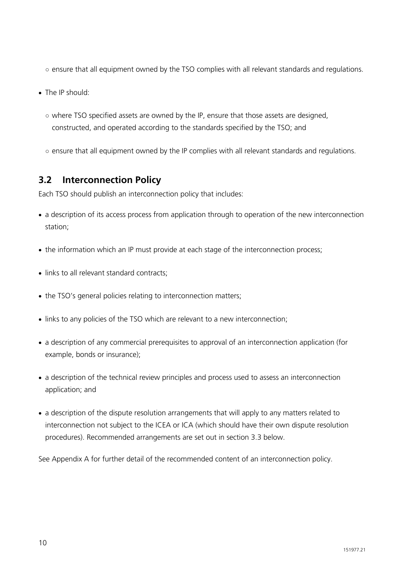- ensure that all equipment owned by the TSO complies with all relevant standards and regulations.
- The IP should:
	- $\circ$  where TSO specified assets are owned by the IP, ensure that those assets are designed, constructed, and operated according to the standards specified by the TSO; and
	- ensure that all equipment owned by the IP complies with all relevant standards and regulations.

#### **3.2 Interconnection Policy**

Each TSO should publish an interconnection policy that includes:

- a description of its access process from application through to operation of the new interconnection station;
- the information which an IP must provide at each stage of the interconnection process:
- links to all relevant standard contracts:
- the TSO's general policies relating to interconnection matters;
- links to any policies of the TSO which are relevant to a new interconnection;
- a description of any commercial prerequisites to approval of an interconnection application (for example, bonds or insurance);
- a description of the technical review principles and process used to assess an interconnection application; and
- a description of the dispute resolution arrangements that will apply to any matters related to interconnection not subject to the ICEA or ICA (which should have their own dispute resolution procedures). Recommended arrangements are set out in section 3.3 below.

See Appendix A for further detail of the recommended content of an interconnection policy.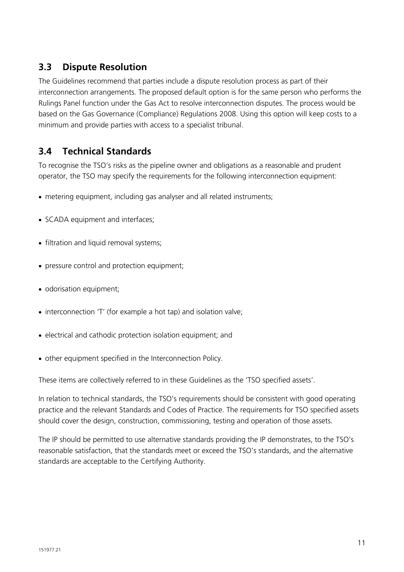#### **3.3 Dispute Resolution**

The Guidelines recommend that parties include a dispute resolution process as part of their interconnection arrangements. The proposed default option is for the same person who performs the Rulings Panel function under the Gas Act to resolve interconnection disputes. The process would be based on the Gas Governance (Compliance) Regulations 2008. Using this option will keep costs to a minimum and provide parties with access to a specialist tribunal.

#### **3.4 Technical Standards**

To recognise the TSO's risks as the pipeline owner and obligations as a reasonable and prudent operator, the TSO may specify the requirements for the following interconnection equipment:

- metering equipment, including gas analyser and all related instruments;
- SCADA equipment and interfaces;
- filtration and liquid removal systems;
- pressure control and protection equipment;
- odorisation equipment;
- interconnection 'T' (for example a hot tap) and isolation valve;
- electrical and cathodic protection isolation equipment; and
- other equipment specified in the Interconnection Policy.

These items are collectively referred to in these Guidelines as the 'TSO specified assets'.

In relation to technical standards, the TSO's requirements should be consistent with good operating practice and the relevant Standards and Codes of Practice. The requirements for TSO specified assets should cover the design, construction, commissioning, testing and operation of those assets.

The IP should be permitted to use alternative standards providing the IP demonstrates, to the TSO's reasonable satisfaction, that the standards meet or exceed the TSO's standards, and the alternative standards are acceptable to the Certifying Authority.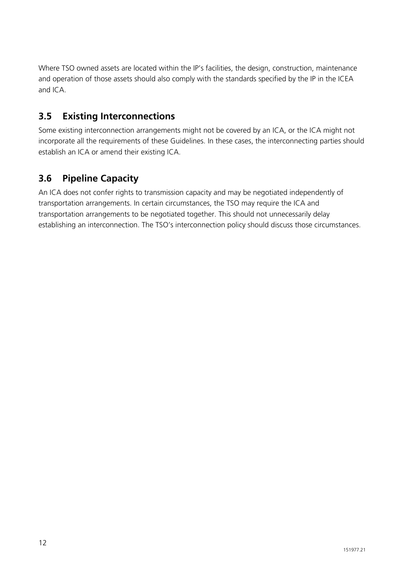Where TSO owned assets are located within the IP's facilities, the design, construction, maintenance and operation of those assets should also comply with the standards specified by the IP in the ICEA and ICA.

#### **3.5 Existing Interconnections**

Some existing interconnection arrangements might not be covered by an ICA, or the ICA might not incorporate all the requirements of these Guidelines. In these cases, the interconnecting parties should establish an ICA or amend their existing ICA.

#### **3.6 Pipeline Capacity**

An ICA does not confer rights to transmission capacity and may be negotiated independently of transportation arrangements. In certain circumstances, the TSO may require the ICA and transportation arrangements to be negotiated together. This should not unnecessarily delay establishing an interconnection. The TSO's interconnection policy should discuss those circumstances.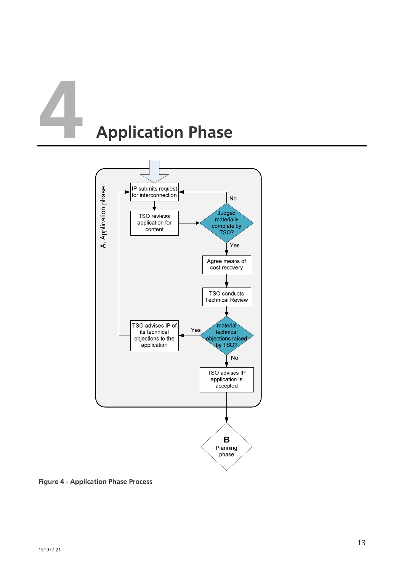# **4 Application Phase**



**Figure 4 - Application Phase Process**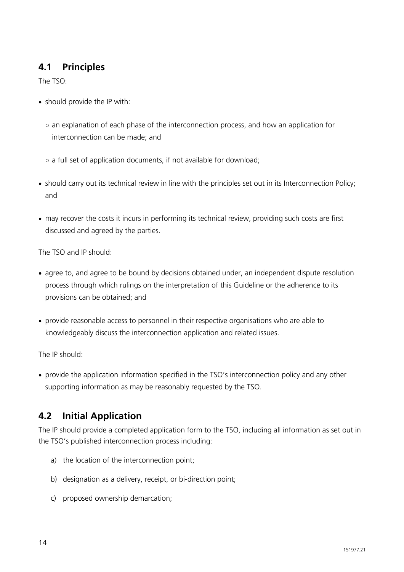#### **4.1 Principles**

The TSO:

- should provide the IP with:
	- an explanation of each phase of the interconnection process, and how an application for interconnection can be made; and
	- a full set of application documents, if not available for download;
- should carry out its technical review in line with the principles set out in its Interconnection Policy; and
- may recover the costs it incurs in performing its technical review, providing such costs are first discussed and agreed by the parties.

The TSO and IP should:

- agree to, and agree to be bound by decisions obtained under, an independent dispute resolution process through which rulings on the interpretation of this Guideline or the adherence to its provisions can be obtained; and
- provide reasonable access to personnel in their respective organisations who are able to knowledgeably discuss the interconnection application and related issues.

The IP should:

• provide the application information specified in the TSO's interconnection policy and any other supporting information as may be reasonably requested by the TSO.

#### **4.2 Initial Application**

The IP should provide a completed application form to the TSO, including all information as set out in the TSO's published interconnection process including:

- a) the location of the interconnection point;
- b) designation as a delivery, receipt, or bi-direction point;
- c) proposed ownership demarcation;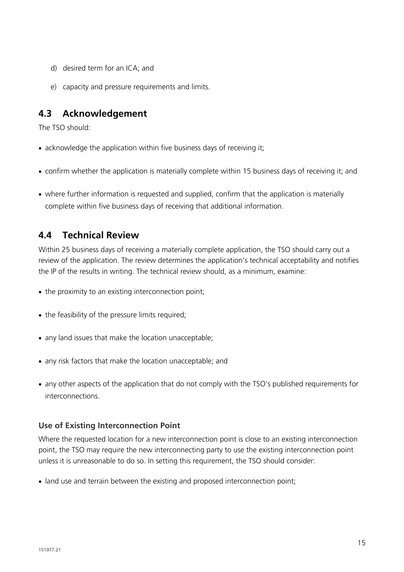- d) desired term for an ICA; and
- e) capacity and pressure requirements and limits.

#### **4.3 Acknowledgement**

The TSO should:

- acknowledge the application within five business days of receiving it;
- confirm whether the application is materially complete within 15 business days of receiving it; and
- where further information is requested and supplied, confirm that the application is materially complete within five business days of receiving that additional information.

#### **4.4 Technical Review**

Within 25 business days of receiving a materially complete application, the TSO should carry out a review of the application. The review determines the application's technical acceptability and notifies the IP of the results in writing. The technical review should, as a minimum, examine:

- the proximity to an existing interconnection point;
- the feasibility of the pressure limits required;
- any land issues that make the location unacceptable;
- any risk factors that make the location unacceptable; and
- any other aspects of the application that do not comply with the TSO's published requirements for interconnections.

#### **Use of Existing Interconnection Point**

Where the requested location for a new interconnection point is close to an existing interconnection point, the TSO may require the new interconnecting party to use the existing interconnection point unless it is unreasonable to do so. In setting this requirement, the TSO should consider:

• land use and terrain between the existing and proposed interconnection point;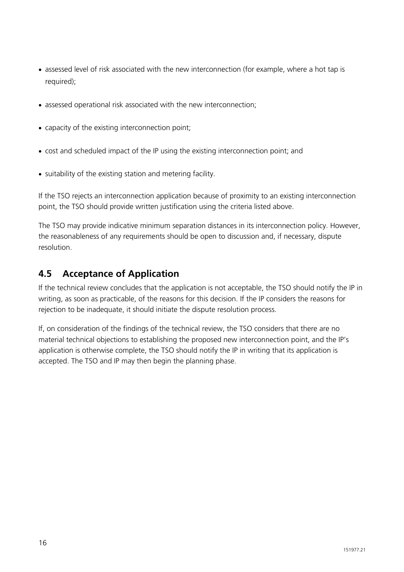- assessed level of risk associated with the new interconnection (for example, where a hot tap is required);
- assessed operational risk associated with the new interconnection;
- capacity of the existing interconnection point;
- cost and scheduled impact of the IP using the existing interconnection point; and
- suitability of the existing station and metering facility.

If the TSO rejects an interconnection application because of proximity to an existing interconnection point, the TSO should provide written justification using the criteria listed above.

The TSO may provide indicative minimum separation distances in its interconnection policy. However, the reasonableness of any requirements should be open to discussion and, if necessary, dispute resolution.

#### **4.5 Acceptance of Application**

If the technical review concludes that the application is not acceptable, the TSO should notify the IP in writing, as soon as practicable, of the reasons for this decision. If the IP considers the reasons for rejection to be inadequate, it should initiate the dispute resolution process.

If, on consideration of the findings of the technical review, the TSO considers that there are no material technical objections to establishing the proposed new interconnection point, and the IP's application is otherwise complete, the TSO should notify the IP in writing that its application is accepted. The TSO and IP may then begin the planning phase.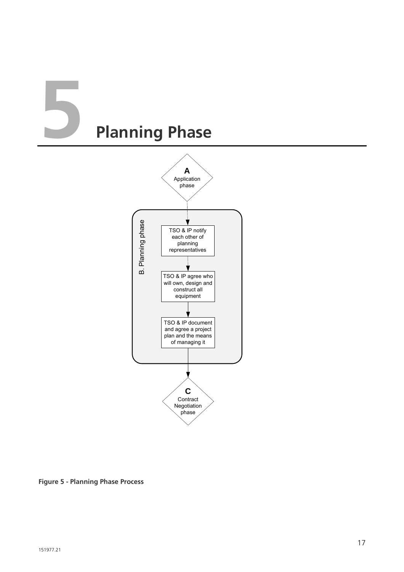# **5 Planning Phase**



**Figure 5 - Planning Phase Process**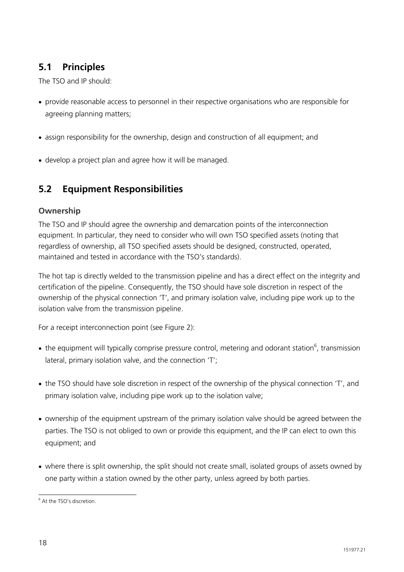#### **5.1 Principles**

The TSO and IP should:

- provide reasonable access to personnel in their respective organisations who are responsible for agreeing planning matters;
- assign responsibility for the ownership, design and construction of all equipment; and
- develop a project plan and agree how it will be managed.

#### **5.2 Equipment Responsibilities**

#### **Ownership**

The TSO and IP should agree the ownership and demarcation points of the interconnection equipment. In particular, they need to consider who will own TSO specified assets (noting that regardless of ownership, all TSO specified assets should be designed, constructed, operated, maintained and tested in accordance with the TSO's standards).

The hot tap is directly welded to the transmission pipeline and has a direct effect on the integrity and certification of the pipeline. Consequently, the TSO should have sole discretion in respect of the ownership of the physical connection 'T', and primary isolation valve, including pipe work up to the isolation valve from the transmission pipeline.

For a receipt interconnection point (see Figure 2):

- the equipment will typically comprise pressure control, metering and odorant station<sup>6</sup>, transmission lateral, primary isolation valve, and the connection 'T';
- the TSO should have sole discretion in respect of the ownership of the physical connection 'T', and primary isolation valve, including pipe work up to the isolation valve;
- ownership of the equipment upstream of the primary isolation valve should be agreed between the parties. The TSO is not obliged to own or provide this equipment, and the IP can elect to own this equipment; and
- where there is split ownership, the split should not create small, isolated groups of assets owned by one party within a station owned by the other party, unless agreed by both parties.

<sup>&</sup>lt;sup>6</sup> At the TSO's discretion.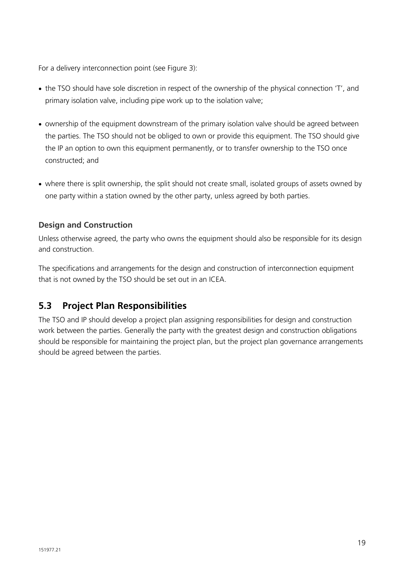For a delivery interconnection point (see Figure 3):

- the TSO should have sole discretion in respect of the ownership of the physical connection 'T', and primary isolation valve, including pipe work up to the isolation valve;
- ownership of the equipment downstream of the primary isolation valve should be agreed between the parties. The TSO should not be obliged to own or provide this equipment. The TSO should give the IP an option to own this equipment permanently, or to transfer ownership to the TSO once constructed; and
- where there is split ownership, the split should not create small, isolated groups of assets owned by one party within a station owned by the other party, unless agreed by both parties.

#### **Design and Construction**

Unless otherwise agreed, the party who owns the equipment should also be responsible for its design and construction.

The specifications and arrangements for the design and construction of interconnection equipment that is not owned by the TSO should be set out in an ICEA.

#### **5.3 Project Plan Responsibilities**

The TSO and IP should develop a project plan assigning responsibilities for design and construction work between the parties. Generally the party with the greatest design and construction obligations should be responsible for maintaining the project plan, but the project plan governance arrangements should be agreed between the parties.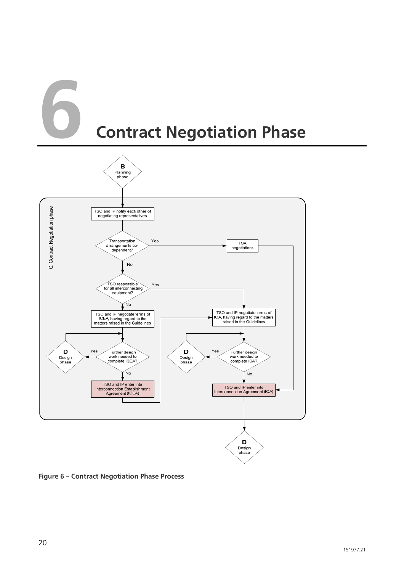## **6 Contract Negotiation Phase**



**Figure 6 – Contract Negotiation Phase Process**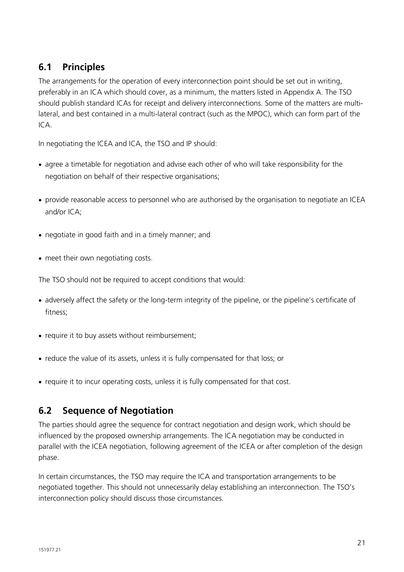#### **6.1 Principles**

The arrangements for the operation of every interconnection point should be set out in writing, preferably in an ICA which should cover, as a minimum, the matters listed in Appendix A. The TSO should publish standard ICAs for receipt and delivery interconnections. Some of the matters are multilateral, and best contained in a multi-lateral contract (such as the MPOC), which can form part of the  $ICA$ 

In negotiating the ICEA and ICA, the TSO and IP should:

- agree a timetable for negotiation and advise each other of who will take responsibility for the negotiation on behalf of their respective organisations;
- provide reasonable access to personnel who are authorised by the organisation to negotiate an ICEA and/or ICA;
- negotiate in good faith and in a timely manner; and
- meet their own negotiating costs.

The TSO should not be required to accept conditions that would:

- adversely affect the safety or the long-term integrity of the pipeline, or the pipeline's certificate of fitness;
- require it to buy assets without reimbursement;
- reduce the value of its assets, unless it is fully compensated for that loss; or
- require it to incur operating costs, unless it is fully compensated for that cost.

#### **6.2 Sequence of Negotiation**

The parties should agree the sequence for contract negotiation and design work, which should be influenced by the proposed ownership arrangements. The ICA negotiation may be conducted in parallel with the ICEA negotiation, following agreement of the ICEA or after completion of the design phase.

In certain circumstances, the TSO may require the ICA and transportation arrangements to be negotiated together. This should not unnecessarily delay establishing an interconnection. The TSO's interconnection policy should discuss those circumstances.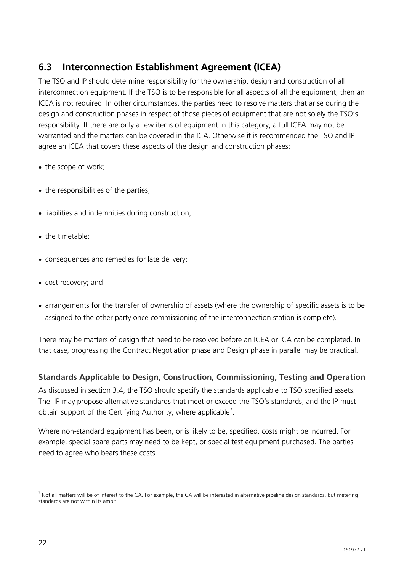#### **6.3 Interconnection Establishment Agreement (ICEA)**

The TSO and IP should determine responsibility for the ownership, design and construction of all interconnection equipment. If the TSO is to be responsible for all aspects of all the equipment, then an ICEA is not required. In other circumstances, the parties need to resolve matters that arise during the design and construction phases in respect of those pieces of equipment that are not solely the TSO's responsibility. If there are only a few items of equipment in this category, a full ICEA may not be warranted and the matters can be covered in the ICA. Otherwise it is recommended the TSO and IP agree an ICEA that covers these aspects of the design and construction phases:

- the scope of work;
- the responsibilities of the parties;
- liabilities and indemnities during construction:
- the timetable:
- consequences and remedies for late delivery;
- cost recovery; and
- arrangements for the transfer of ownership of assets (where the ownership of specific assets is to be assigned to the other party once commissioning of the interconnection station is complete).

There may be matters of design that need to be resolved before an ICEA or ICA can be completed. In that case, progressing the Contract Negotiation phase and Design phase in parallel may be practical.

#### **Standards Applicable to Design, Construction, Commissioning, Testing and Operation**

As discussed in section 3.4, the TSO should specify the standards applicable to TSO specified assets. The IP may propose alternative standards that meet or exceed the TSO's standards, and the IP must obtain support of the Certifying Authority, where applicable<sup>7</sup>.

Where non-standard equipment has been, or is likely to be, specified, costs might be incurred. For example, special spare parts may need to be kept, or special test equipment purchased. The parties need to agree who bears these costs.

  $^7$  Not all matters will be of interest to the CA. For example, the CA will be interested in alternative pipeline design standards, but metering standards are not within its ambit.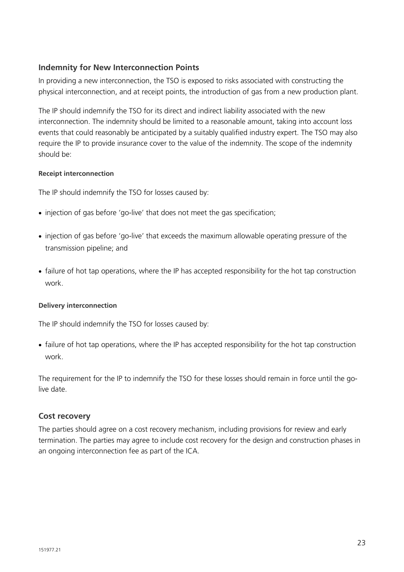#### **Indemnity for New Interconnection Points**

In providing a new interconnection, the TSO is exposed to risks associated with constructing the physical interconnection, and at receipt points, the introduction of gas from a new production plant.

The IP should indemnify the TSO for its direct and indirect liability associated with the new interconnection. The indemnity should be limited to a reasonable amount, taking into account loss events that could reasonably be anticipated by a suitably qualified industry expert. The TSO may also require the IP to provide insurance cover to the value of the indemnity. The scope of the indemnity should be:

#### **Receipt interconnection**

The IP should indemnify the TSO for losses caused by:

- injection of gas before 'go-live' that does not meet the gas specification;
- injection of gas before 'go-live' that exceeds the maximum allowable operating pressure of the transmission pipeline; and
- failure of hot tap operations, where the IP has accepted responsibility for the hot tap construction work.

#### **Delivery interconnection**

The IP should indemnify the TSO for losses caused by:

• failure of hot tap operations, where the IP has accepted responsibility for the hot tap construction work.

The requirement for the IP to indemnify the TSO for these losses should remain in force until the golive date.

#### **Cost recovery**

The parties should agree on a cost recovery mechanism, including provisions for review and early termination. The parties may agree to include cost recovery for the design and construction phases in an ongoing interconnection fee as part of the ICA.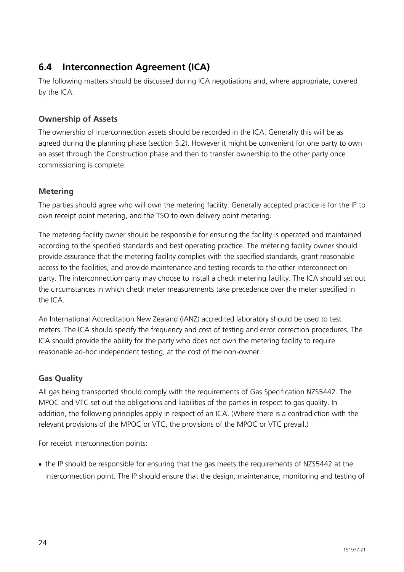#### **6.4 Interconnection Agreement (ICA)**

The following matters should be discussed during ICA negotiations and, where appropriate, covered by the ICA.

#### **Ownership of Assets**

The ownership of interconnection assets should be recorded in the ICA. Generally this will be as agreed during the planning phase (section 5.2). However it might be convenient for one party to own an asset through the Construction phase and then to transfer ownership to the other party once commissioning is complete.

#### **Metering**

The parties should agree who will own the metering facility. Generally accepted practice is for the IP to own receipt point metering, and the TSO to own delivery point metering.

The metering facility owner should be responsible for ensuring the facility is operated and maintained according to the specified standards and best operating practice. The metering facility owner should provide assurance that the metering facility complies with the specified standards, grant reasonable access to the facilities, and provide maintenance and testing records to the other interconnection party. The interconnection party may choose to install a check metering facility. The ICA should set out the circumstances in which check meter measurements take precedence over the meter specified in the ICA.

An International Accreditation New Zealand (IANZ) accredited laboratory should be used to test meters. The ICA should specify the frequency and cost of testing and error correction procedures. The ICA should provide the ability for the party who does not own the metering facility to require reasonable ad-hoc independent testing, at the cost of the non-owner.

#### **Gas Quality**

All gas being transported should comply with the requirements of Gas Specification NZS5442. The MPOC and VTC set out the obligations and liabilities of the parties in respect to gas quality. In addition, the following principles apply in respect of an ICA. (Where there is a contradiction with the relevant provisions of the MPOC or VTC, the provisions of the MPOC or VTC prevail.)

For receipt interconnection points:

• the IP should be responsible for ensuring that the gas meets the requirements of NZS5442 at the interconnection point. The IP should ensure that the design, maintenance, monitoring and testing of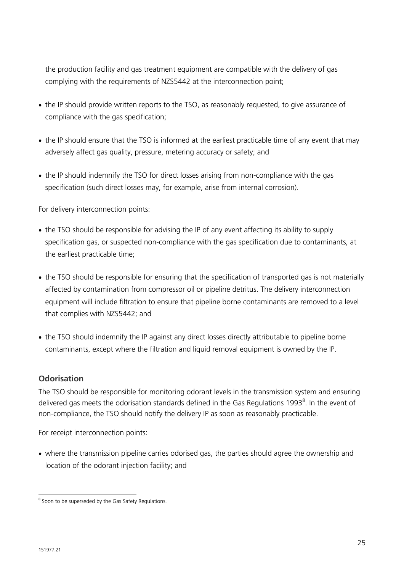the production facility and gas treatment equipment are compatible with the delivery of gas complying with the requirements of NZS5442 at the interconnection point;

- the IP should provide written reports to the TSO, as reasonably requested, to give assurance of compliance with the gas specification;
- the IP should ensure that the TSO is informed at the earliest practicable time of any event that may adversely affect gas quality, pressure, metering accuracy or safety; and
- the IP should indemnify the TSO for direct losses arising from non-compliance with the gas specification (such direct losses may, for example, arise from internal corrosion).

For delivery interconnection points:

- the TSO should be responsible for advising the IP of any event affecting its ability to supply specification gas, or suspected non-compliance with the gas specification due to contaminants, at the earliest practicable time;
- the TSO should be responsible for ensuring that the specification of transported gas is not materially affected by contamination from compressor oil or pipeline detritus. The delivery interconnection equipment will include filtration to ensure that pipeline borne contaminants are removed to a level that complies with NZS5442; and
- the TSO should indemnify the IP against any direct losses directly attributable to pipeline borne contaminants, except where the filtration and liquid removal equipment is owned by the IP.

#### **Odorisation**

The TSO should be responsible for monitoring odorant levels in the transmission system and ensuring delivered gas meets the odorisation standards defined in the Gas Regulations 1993<sup>8</sup>. In the event of non-compliance, the TSO should notify the delivery IP as soon as reasonably practicable.

For receipt interconnection points:

• where the transmission pipeline carries odorised gas, the parties should agree the ownership and location of the odorant injection facility; and

<sup>&</sup>lt;sup>8</sup> Soon to be superseded by the Gas Safety Regulations.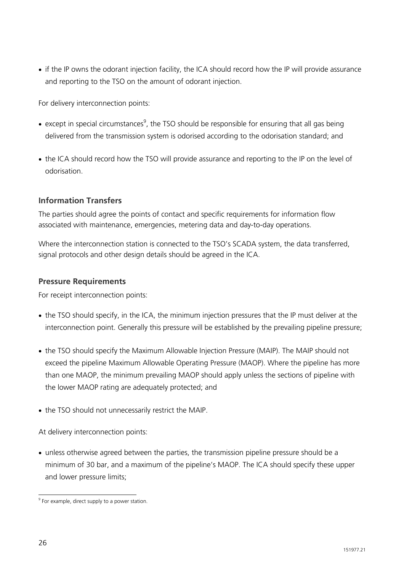• if the IP owns the odorant injection facility, the ICA should record how the IP will provide assurance and reporting to the TSO on the amount of odorant injection.

For delivery interconnection points:

- except in special circumstances<sup>9</sup>, the TSO should be responsible for ensuring that all gas being delivered from the transmission system is odorised according to the odorisation standard; and
- the ICA should record how the TSO will provide assurance and reporting to the IP on the level of odorisation.

#### **Information Transfers**

The parties should agree the points of contact and specific requirements for information flow associated with maintenance, emergencies, metering data and day-to-day operations.

Where the interconnection station is connected to the TSO's SCADA system, the data transferred, signal protocols and other design details should be agreed in the ICA.

#### **Pressure Requirements**

For receipt interconnection points:

- the TSO should specify, in the ICA, the minimum injection pressures that the IP must deliver at the interconnection point. Generally this pressure will be established by the prevailing pipeline pressure;
- the TSO should specify the Maximum Allowable Injection Pressure (MAIP). The MAIP should not exceed the pipeline Maximum Allowable Operating Pressure (MAOP). Where the pipeline has more than one MAOP, the minimum prevailing MAOP should apply unless the sections of pipeline with the lower MAOP rating are adequately protected; and
- the TSO should not unnecessarily restrict the MAIP.

At delivery interconnection points:

• unless otherwise agreed between the parties, the transmission pipeline pressure should be a minimum of 30 bar, and a maximum of the pipeline's MAOP. The ICA should specify these upper and lower pressure limits;

e<br><sup>9</sup> For example, direct supply to a power station.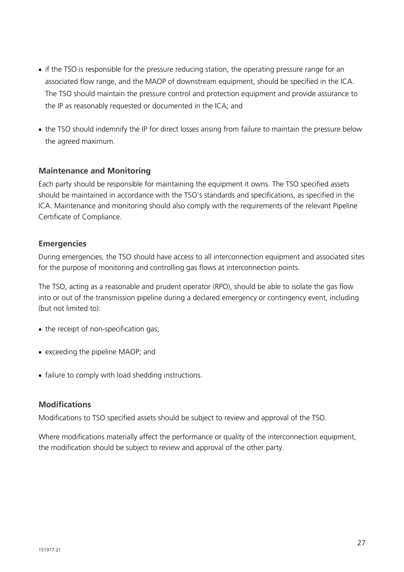- if the TSO is responsible for the pressure reducing station, the operating pressure range for an associated flow range, and the MAOP of downstream equipment, should be specified in the ICA. The TSO should maintain the pressure control and protection equipment and provide assurance to the IP as reasonably requested or documented in the ICA; and
- the TSO should indemnify the IP for direct losses arising from failure to maintain the pressure below the agreed maximum.

#### **Maintenance and Monitoring**

Each party should be responsible for maintaining the equipment it owns. The TSO specified assets should be maintained in accordance with the TSO's standards and specifications, as specified in the ICA. Maintenance and monitoring should also comply with the requirements of the relevant Pipeline Certificate of Compliance.

#### **Emergencies**

During emergencies, the TSO should have access to all interconnection equipment and associated sites for the purpose of monitoring and controlling gas flows at interconnection points.

The TSO, acting as a reasonable and prudent operator (RPO), should be able to isolate the gas flow into or out of the transmission pipeline during a declared emergency or contingency event, including (but not limited to):

- the receipt of non-specification gas;
- exceeding the pipeline MAOP; and
- failure to comply with load shedding instructions.

#### **Modifications**

Modifications to TSO specified assets should be subject to review and approval of the TSO.

Where modifications materially affect the performance or quality of the interconnection equipment, the modification should be subject to review and approval of the other party.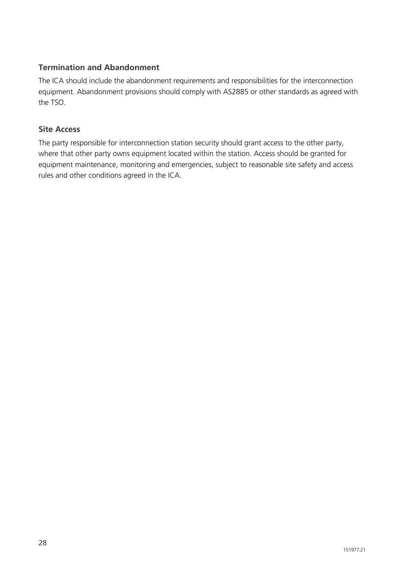#### **Termination and Abandonment**

The ICA should include the abandonment requirements and responsibilities for the interconnection equipment. Abandonment provisions should comply with AS2885 or other standards as agreed with the TSO.

#### **Site Access**

The party responsible for interconnection station security should grant access to the other party, where that other party owns equipment located within the station. Access should be granted for equipment maintenance, monitoring and emergencies, subject to reasonable site safety and access rules and other conditions agreed in the ICA.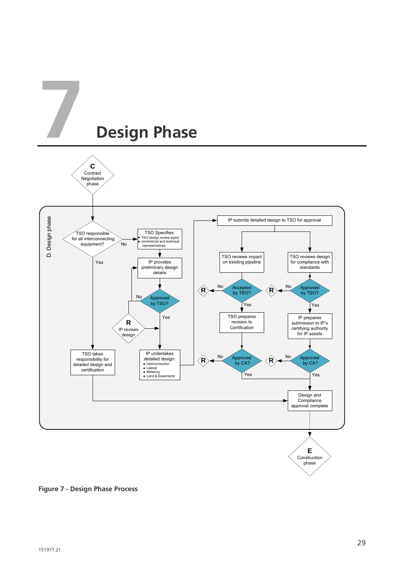

**Figure 7 - Design Phase Process**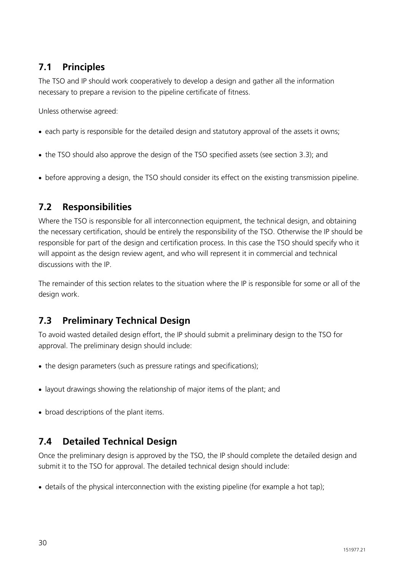#### **7.1 Principles**

The TSO and IP should work cooperatively to develop a design and gather all the information necessary to prepare a revision to the pipeline certificate of fitness.

Unless otherwise agreed:

- each party is responsible for the detailed design and statutory approval of the assets it owns;
- the TSO should also approve the design of the TSO specified assets (see section 3.3); and
- before approving a design, the TSO should consider its effect on the existing transmission pipeline.

#### **7.2 Responsibilities**

Where the TSO is responsible for all interconnection equipment, the technical design, and obtaining the necessary certification, should be entirely the responsibility of the TSO. Otherwise the IP should be responsible for part of the design and certification process. In this case the TSO should specify who it will appoint as the design review agent, and who will represent it in commercial and technical discussions with the IP.

The remainder of this section relates to the situation where the IP is responsible for some or all of the design work.

#### **7.3 Preliminary Technical Design**

To avoid wasted detailed design effort, the IP should submit a preliminary design to the TSO for approval. The preliminary design should include:

- the design parameters (such as pressure ratings and specifications);
- layout drawings showing the relationship of major items of the plant; and
- broad descriptions of the plant items.

#### **7.4 Detailed Technical Design**

Once the preliminary design is approved by the TSO, the IP should complete the detailed design and submit it to the TSO for approval. The detailed technical design should include:

• details of the physical interconnection with the existing pipeline (for example a hot tap);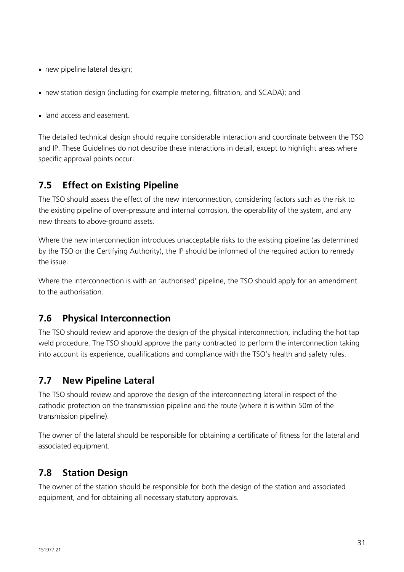- new pipeline lateral design;
- new station design (including for example metering, filtration, and SCADA); and
- land access and easement.

The detailed technical design should require considerable interaction and coordinate between the TSO and IP. These Guidelines do not describe these interactions in detail, except to highlight areas where specific approval points occur.

#### **7.5 Effect on Existing Pipeline**

The TSO should assess the effect of the new interconnection, considering factors such as the risk to the existing pipeline of over-pressure and internal corrosion, the operability of the system, and any new threats to above-ground assets.

Where the new interconnection introduces unacceptable risks to the existing pipeline (as determined by the TSO or the Certifying Authority), the IP should be informed of the required action to remedy the issue.

Where the interconnection is with an 'authorised' pipeline, the TSO should apply for an amendment to the authorisation.

#### **7.6 Physical Interconnection**

The TSO should review and approve the design of the physical interconnection, including the hot tap weld procedure. The TSO should approve the party contracted to perform the interconnection taking into account its experience, qualifications and compliance with the TSO's health and safety rules.

#### **7.7 New Pipeline Lateral**

The TSO should review and approve the design of the interconnecting lateral in respect of the cathodic protection on the transmission pipeline and the route (where it is within 50m of the transmission pipeline).

The owner of the lateral should be responsible for obtaining a certificate of fitness for the lateral and associated equipment.

#### **7.8 Station Design**

The owner of the station should be responsible for both the design of the station and associated equipment, and for obtaining all necessary statutory approvals.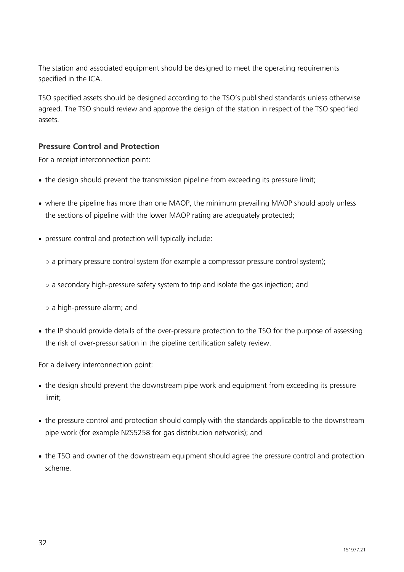The station and associated equipment should be designed to meet the operating requirements specified in the ICA.

TSO specified assets should be designed according to the TSO's published standards unless otherwise agreed. The TSO should review and approve the design of the station in respect of the TSO specified assets.

#### **Pressure Control and Protection**

For a receipt interconnection point:

- the design should prevent the transmission pipeline from exceeding its pressure limit;
- where the pipeline has more than one MAOP, the minimum prevailing MAOP should apply unless the sections of pipeline with the lower MAOP rating are adequately protected;
- pressure control and protection will typically include:
	- a primary pressure control system (for example a compressor pressure control system);
	- $\circ$  a secondary high-pressure safety system to trip and isolate the gas injection; and
	- a high-pressure alarm; and
- the IP should provide details of the over-pressure protection to the TSO for the purpose of assessing the risk of over-pressurisation in the pipeline certification safety review.

For a delivery interconnection point:

- the design should prevent the downstream pipe work and equipment from exceeding its pressure limit;
- the pressure control and protection should comply with the standards applicable to the downstream pipe work (for example NZS5258 for gas distribution networks); and
- the TSO and owner of the downstream equipment should agree the pressure control and protection scheme.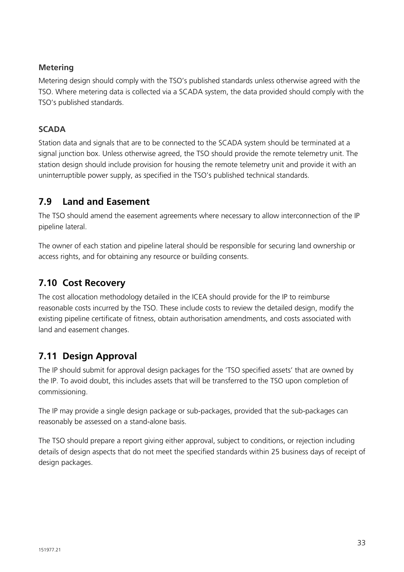#### **Metering**

Metering design should comply with the TSO's published standards unless otherwise agreed with the TSO. Where metering data is collected via a SCADA system, the data provided should comply with the TSO's published standards.

#### **SCADA**

Station data and signals that are to be connected to the SCADA system should be terminated at a signal junction box. Unless otherwise agreed, the TSO should provide the remote telemetry unit. The station design should include provision for housing the remote telemetry unit and provide it with an uninterruptible power supply, as specified in the TSO's published technical standards.

#### **7.9 Land and Easement**

The TSO should amend the easement agreements where necessary to allow interconnection of the IP pipeline lateral.

The owner of each station and pipeline lateral should be responsible for securing land ownership or access rights, and for obtaining any resource or building consents.

#### **7.10 Cost Recovery**

The cost allocation methodology detailed in the ICEA should provide for the IP to reimburse reasonable costs incurred by the TSO. These include costs to review the detailed design, modify the existing pipeline certificate of fitness, obtain authorisation amendments, and costs associated with land and easement changes.

#### **7.11 Design Approval**

The IP should submit for approval design packages for the 'TSO specified assets' that are owned by the IP. To avoid doubt, this includes assets that will be transferred to the TSO upon completion of commissioning.

The IP may provide a single design package or sub-packages, provided that the sub-packages can reasonably be assessed on a stand-alone basis.

The TSO should prepare a report giving either approval, subject to conditions, or rejection including details of design aspects that do not meet the specified standards within 25 business days of receipt of design packages.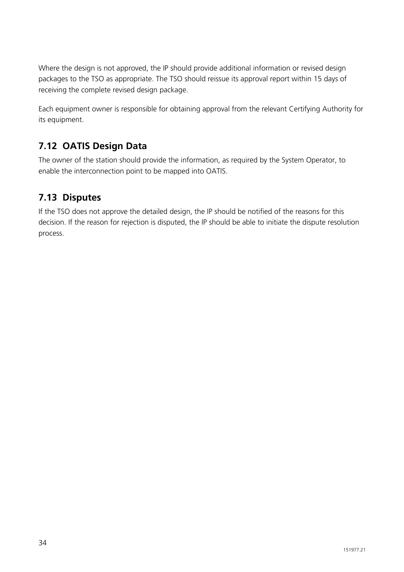Where the design is not approved, the IP should provide additional information or revised design packages to the TSO as appropriate. The TSO should reissue its approval report within 15 days of receiving the complete revised design package.

Each equipment owner is responsible for obtaining approval from the relevant Certifying Authority for its equipment.

#### **7.12 OATIS Design Data**

The owner of the station should provide the information, as required by the System Operator, to enable the interconnection point to be mapped into OATIS.

#### **7.13 Disputes**

If the TSO does not approve the detailed design, the IP should be notified of the reasons for this decision. If the reason for rejection is disputed, the IP should be able to initiate the dispute resolution process.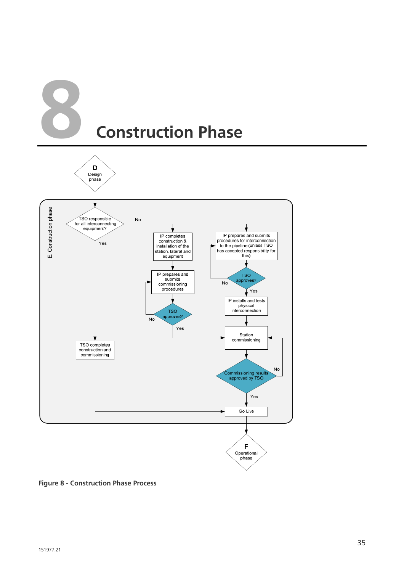



**Figure 8 - Construction Phase Process**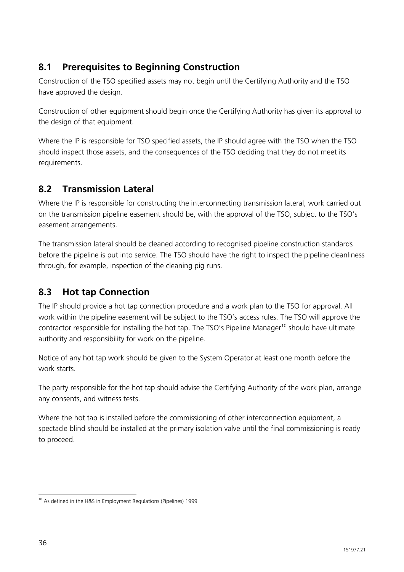#### **8.1 Prerequisites to Beginning Construction**

Construction of the TSO specified assets may not begin until the Certifying Authority and the TSO have approved the design.

Construction of other equipment should begin once the Certifying Authority has given its approval to the design of that equipment.

Where the IP is responsible for TSO specified assets, the IP should agree with the TSO when the TSO should inspect those assets, and the consequences of the TSO deciding that they do not meet its requirements.

#### **8.2 Transmission Lateral**

Where the IP is responsible for constructing the interconnecting transmission lateral, work carried out on the transmission pipeline easement should be, with the approval of the TSO, subject to the TSO's easement arrangements.

The transmission lateral should be cleaned according to recognised pipeline construction standards before the pipeline is put into service. The TSO should have the right to inspect the pipeline cleanliness through, for example, inspection of the cleaning pig runs.

#### **8.3 Hot tap Connection**

The IP should provide a hot tap connection procedure and a work plan to the TSO for approval. All work within the pipeline easement will be subject to the TSO's access rules. The TSO will approve the contractor responsible for installing the hot tap. The TSO's Pipeline Manager<sup>10</sup> should have ultimate authority and responsibility for work on the pipeline.

Notice of any hot tap work should be given to the System Operator at least one month before the work starts.

The party responsible for the hot tap should advise the Certifying Authority of the work plan, arrange any consents, and witness tests.

Where the hot tap is installed before the commissioning of other interconnection equipment, a spectacle blind should be installed at the primary isolation valve until the final commissioning is ready to proceed.

 $\overline{a}$ <sup>10</sup> As defined in the H&S in Employment Regulations (Pipelines) 1999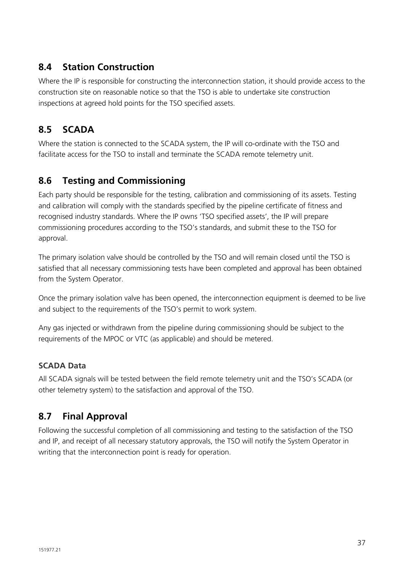#### **8.4 Station Construction**

Where the IP is responsible for constructing the interconnection station, it should provide access to the construction site on reasonable notice so that the TSO is able to undertake site construction inspections at agreed hold points for the TSO specified assets.

#### **8.5 SCADA**

Where the station is connected to the SCADA system, the IP will co-ordinate with the TSO and facilitate access for the TSO to install and terminate the SCADA remote telemetry unit.

#### **8.6 Testing and Commissioning**

Each party should be responsible for the testing, calibration and commissioning of its assets. Testing and calibration will comply with the standards specified by the pipeline certificate of fitness and recognised industry standards. Where the IP owns 'TSO specified assets', the IP will prepare commissioning procedures according to the TSO's standards, and submit these to the TSO for approval.

The primary isolation valve should be controlled by the TSO and will remain closed until the TSO is satisfied that all necessary commissioning tests have been completed and approval has been obtained from the System Operator.

Once the primary isolation valve has been opened, the interconnection equipment is deemed to be live and subject to the requirements of the TSO's permit to work system.

Any gas injected or withdrawn from the pipeline during commissioning should be subject to the requirements of the MPOC or VTC (as applicable) and should be metered.

#### **SCADA Data**

All SCADA signals will be tested between the field remote telemetry unit and the TSO's SCADA (or other telemetry system) to the satisfaction and approval of the TSO.

#### **8.7 Final Approval**

Following the successful completion of all commissioning and testing to the satisfaction of the TSO and IP, and receipt of all necessary statutory approvals, the TSO will notify the System Operator in writing that the interconnection point is ready for operation.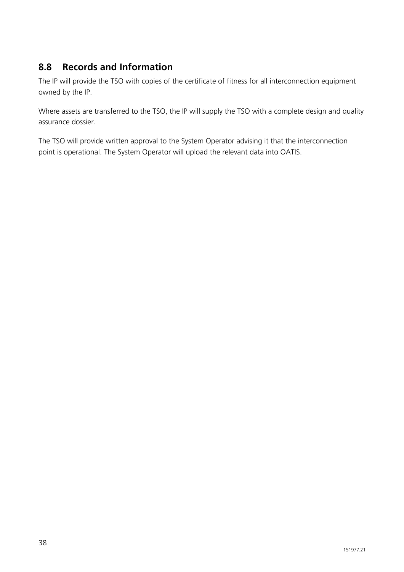#### **8.8 Records and Information**

The IP will provide the TSO with copies of the certificate of fitness for all interconnection equipment owned by the IP.

Where assets are transferred to the TSO, the IP will supply the TSO with a complete design and quality assurance dossier.

The TSO will provide written approval to the System Operator advising it that the interconnection point is operational. The System Operator will upload the relevant data into OATIS.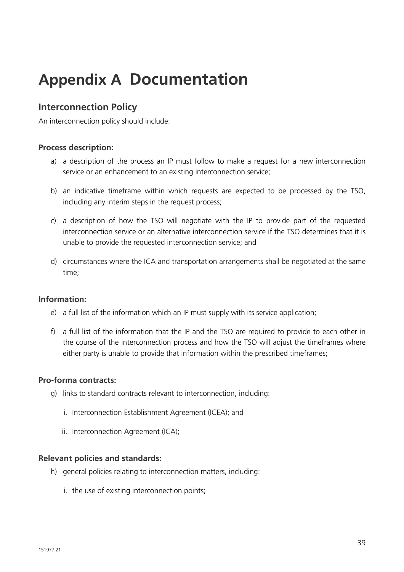### **Appendix A Documentation**

#### **Interconnection Policy**

An interconnection policy should include:

#### **Process description:**

- a) a description of the process an IP must follow to make a request for a new interconnection service or an enhancement to an existing interconnection service;
- b) an indicative timeframe within which requests are expected to be processed by the TSO, including any interim steps in the request process;
- c) a description of how the TSO will negotiate with the IP to provide part of the requested interconnection service or an alternative interconnection service if the TSO determines that it is unable to provide the requested interconnection service; and
- d) circumstances where the ICA and transportation arrangements shall be negotiated at the same time;

#### **Information:**

- e) a full list of the information which an IP must supply with its service application;
- f) a full list of the information that the IP and the TSO are required to provide to each other in the course of the interconnection process and how the TSO will adjust the timeframes where either party is unable to provide that information within the prescribed timeframes;

#### **Pro-forma contracts:**

- g) links to standard contracts relevant to interconnection, including:
	- i. Interconnection Establishment Agreement (ICEA); and
	- ii. Interconnection Agreement (ICA);

#### **Relevant policies and standards:**

- h) general policies relating to interconnection matters, including:
	- i. the use of existing interconnection points;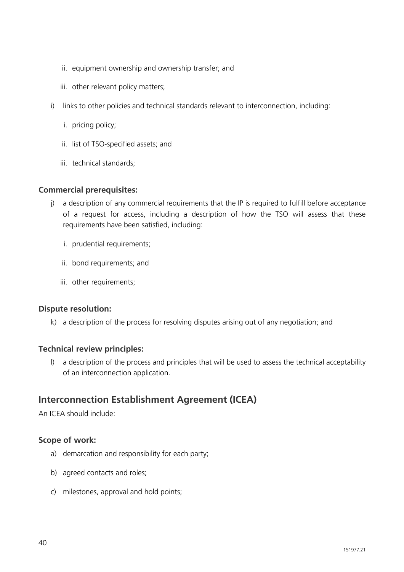- ii. equipment ownership and ownership transfer; and
- iii. other relevant policy matters;
- i) links to other policies and technical standards relevant to interconnection, including:
	- i. pricing policy;
	- ii. list of TSO-specified assets; and
	- iii. technical standards;

#### **Commercial prerequisites:**

- j) a description of any commercial requirements that the IP is required to fulfill before acceptance of a request for access, including a description of how the TSO will assess that these requirements have been satisfied, including:
	- i. prudential requirements;
	- ii. bond requirements; and
	- iii. other requirements;

#### **Dispute resolution:**

k) a description of the process for resolving disputes arising out of any negotiation; and

#### **Technical review principles:**

l) a description of the process and principles that will be used to assess the technical acceptability of an interconnection application.

#### **Interconnection Establishment Agreement (ICEA)**

An ICEA should include:

#### **Scope of work:**

- a) demarcation and responsibility for each party;
- b) agreed contacts and roles;
- c) milestones, approval and hold points;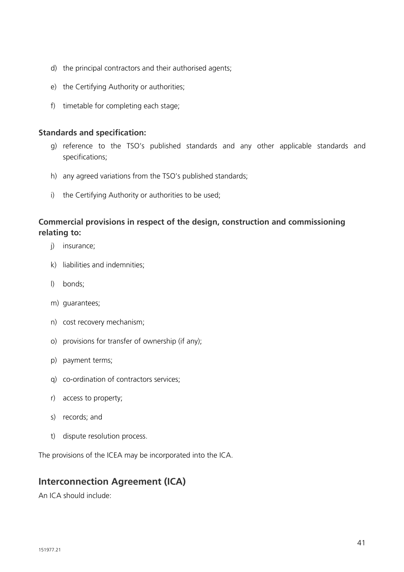- d) the principal contractors and their authorised agents;
- e) the Certifying Authority or authorities;
- f) timetable for completing each stage;

#### **Standards and specification:**

- g) reference to the TSO's published standards and any other applicable standards and specifications;
- h) any agreed variations from the TSO's published standards;
- i) the Certifying Authority or authorities to be used;

#### **Commercial provisions in respect of the design, construction and commissioning relating to:**

- j) insurance;
- k) liabilities and indemnities;
- l) bonds;
- m) guarantees;
- n) cost recovery mechanism;
- o) provisions for transfer of ownership (if any);
- p) payment terms;
- q) co-ordination of contractors services;
- r) access to property;
- s) records; and
- t) dispute resolution process.

The provisions of the ICEA may be incorporated into the ICA.

#### **Interconnection Agreement (ICA)**

An ICA should include: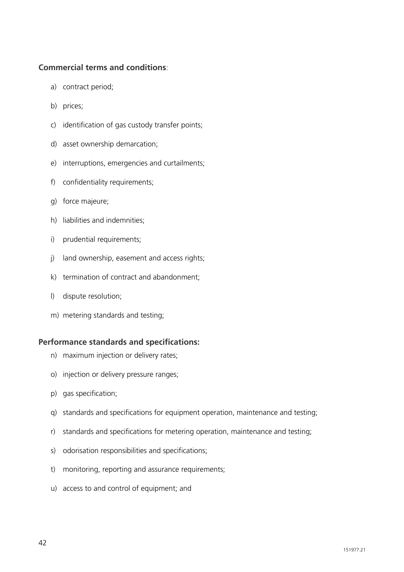#### **Commercial terms and conditions**:

- a) contract period;
- b) prices;
- c) identification of gas custody transfer points;
- d) asset ownership demarcation;
- e) interruptions, emergencies and curtailments;
- f) confidentiality requirements;
- g) force majeure;
- h) liabilities and indemnities;
- i) prudential requirements;
- j) land ownership, easement and access rights;
- k) termination of contract and abandonment;
- l) dispute resolution;
- m) metering standards and testing;

#### **Performance standards and specifications:**

- n) maximum injection or delivery rates;
- o) injection or delivery pressure ranges;
- p) gas specification;
- q) standards and specifications for equipment operation, maintenance and testing;
- r) standards and specifications for metering operation, maintenance and testing;
- s) odorisation responsibilities and specifications;
- t) monitoring, reporting and assurance requirements;
- u) access to and control of equipment; and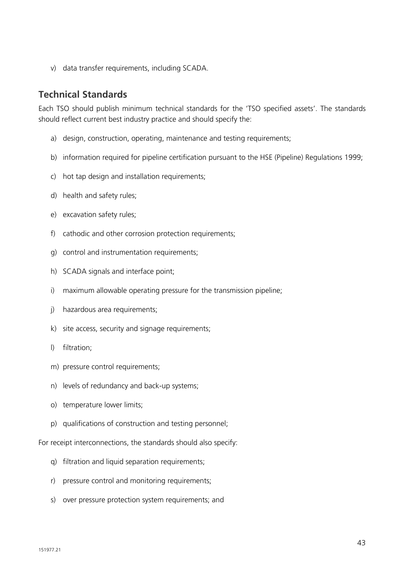v) data transfer requirements, including SCADA.

#### **Technical Standards**

Each TSO should publish minimum technical standards for the 'TSO specified assets'. The standards should reflect current best industry practice and should specify the:

- a) design, construction, operating, maintenance and testing requirements;
- b) information required for pipeline certification pursuant to the HSE (Pipeline) Regulations 1999;
- c) hot tap design and installation requirements;
- d) health and safety rules;
- e) excavation safety rules;
- f) cathodic and other corrosion protection requirements;
- g) control and instrumentation requirements;
- h) SCADA signals and interface point;
- i) maximum allowable operating pressure for the transmission pipeline;
- j) hazardous area requirements;
- k) site access, security and signage requirements;
- l) filtration;
- m) pressure control requirements;
- n) levels of redundancy and back-up systems;
- o) temperature lower limits;
- p) qualifications of construction and testing personnel;

For receipt interconnections, the standards should also specify:

- q) filtration and liquid separation requirements;
- r) pressure control and monitoring requirements;
- s) over pressure protection system requirements; and